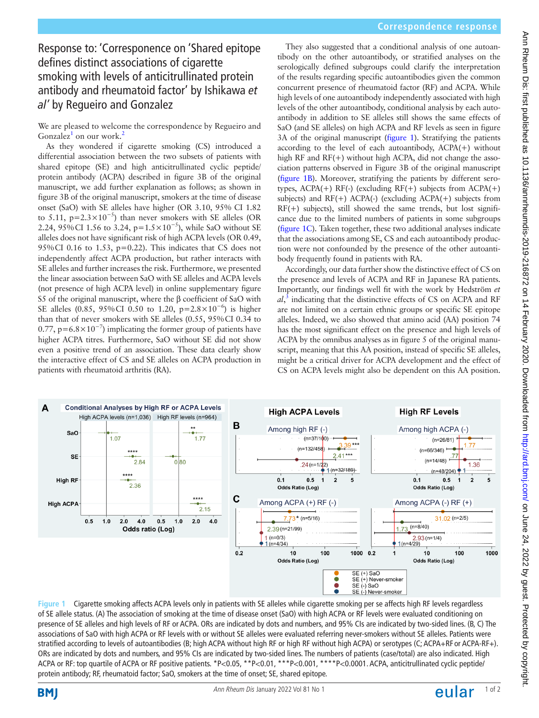# **Correspondence response**

# Response to: 'Corresponence on 'Shared epitope defines distinct associations of cigarette smoking with levels of anticitrullinated protein antibody and rheumatoid factor' by Ishikawa *et al'* by Regueiro and Gonzalez

We are pleased to welcome the correspondence by Regueiro and Gonzalez<sup>[1](#page-1-0)</sup> on our work.<sup>[2](#page-1-1)</sup>

As they wondered if cigarette smoking (CS) introduced a differential association between the two subsets of patients with shared epitope (SE) and high anticitrullinated cyclic peptide/ protein antibody (ACPA) described in figure 3B of the original manuscript, we add further explanation as follows; as shown in figure 3B of the original manuscript, smokers at the time of disease onset (SaO) with SE alleles have higher (OR 3.10, 95% CI 1.82 to 5.11, p=2.3×10<sup>-5</sup>) than never smokers with SE alleles (OR 2.24, 95% CI 1.56 to 3.24, p=1.5  $\times$  10<sup>-5</sup>), while SaO without SE alleles does not have significant risk of high ACPA levels (OR 0.49, 95%CI 0.16 to 1.53, p=0.22). This indicates that CS does not independently affect ACPA production, but rather interacts with SE alleles and further increases the risk. Furthermore, we presented the linear association between SaO with SE alleles and ACPA levels (not presence of high ACPA level) in online supplementary figure S5 of the original manuscript, where the β coefficient of SaO with SE alleles (0.85, 95%CI 0.50 to 1.20, p=2.8×10−6) is higher than that of never smokers with SE alleles (0.55, 95%CI 0.34 to 0.77,  $p=6.8\times10^{-7}$ ) implicating the former group of patients have higher ACPA titres. Furthermore, SaO without SE did not show even a positive trend of an association. These data clearly show the interactive effect of CS and SE alleles on ACPA production in patients with rheumatoid arthritis (RA).

They also suggested that a conditional analysis of one autoantibody on the other autoantibody, or stratified analyses on the serologically defined subgroups could clarify the interpretation of the results regarding specific autoantibodies given the common concurrent presence of rheumatoid factor (RF) and ACPA. While high levels of one autoantibody independently associated with high levels of the other autoantibody, conditional analysis by each autoantibody in addition to SE alleles still shows the same effects of SaO (and SE alleles) on high ACPA and RF levels as seen in figure 3A of the original manuscript ([figure](#page-0-0) 1). Stratifying the patients according to the level of each autoantibody, ACPA(+) without high RF and RF(+) without high ACPA, did not change the association patterns observed in Figure 3B of the original manuscript ([figure](#page-0-0) 1B). Moreover, stratifying the patients by different serotypes,  $ACPA(+)$  RF(-) (excluding RF(+) subjects from  $ACPA(+)$ subjects) and  $RF(+)$  ACPA $(-)$  (excluding ACPA $(+)$  subjects from RF(+) subjects), still showed the same trends, but lost significance due to the limited numbers of patients in some subgroups ([figure](#page-0-0) 1C). Taken together, these two additional analyses indicate that the associations among SE, CS and each autoantibody production were not confounded by the presence of the other autoantibody frequently found in patients with RA.

Accordingly, our data further show the distinctive effect of CS on the presence and levels of ACPA and RF in Japanese RA patients. Importantly, our findings well fit with the work by Hedström *et al*, [3](#page-1-2) indicating that the distinctive effects of CS on ACPA and RF are not limited on a certain ethnic groups or specific SE epitope alleles. Indeed, we also showed that amino acid (AA) position 74 has the most significant effect on the presence and high levels of ACPA by the omnibus analyses as in figure 5 of the original manuscript, meaning that this AA position, instead of specific SE alleles, might be a critical driver for ACPA development and the effect of CS on ACPA levels might also be dependent on this AA position.



<span id="page-0-0"></span>**Figure 1** Cigarette smoking affects ACPA levels only in patients with SE alleles while cigarette smoking per se affects high RF levels regardless of SE allele status. (A) The association of smoking at the time of disease onset (SaO) with high ACPA or RF levels were evaluated conditioning on presence of SE alleles and high levels of RF or ACPA. ORs are indicated by dots and numbers, and 95% CIs are indicated by two-sided lines. (B, C) The associations of SaO with high ACPA or RF levels with or without SE alleles were evaluated referring never-smokers without SE alleles. Patients were stratified according to levels of autoantibodies (B; high ACPA without high RF or high RF without high ACPA) or serotypes (C; ACPA+RF or ACPA-RF+). ORs are indicated by dots and numbers, and 95% CIs are indicated by two-sided lines. The numbers of patients (case/total) are also indicated. High ACPA or RF: top quartile of ACPA or RF positive patients. \*P<0.05, \*\*P<0.01, \*\*\*P<0.001, \*\*\*\*P<0.0001. ACPA, anticitrullinated cyclic peptide/ protein antibody; RF, rheumatoid factor; SaO, smokers at the time of onset; SE, shared epitope.